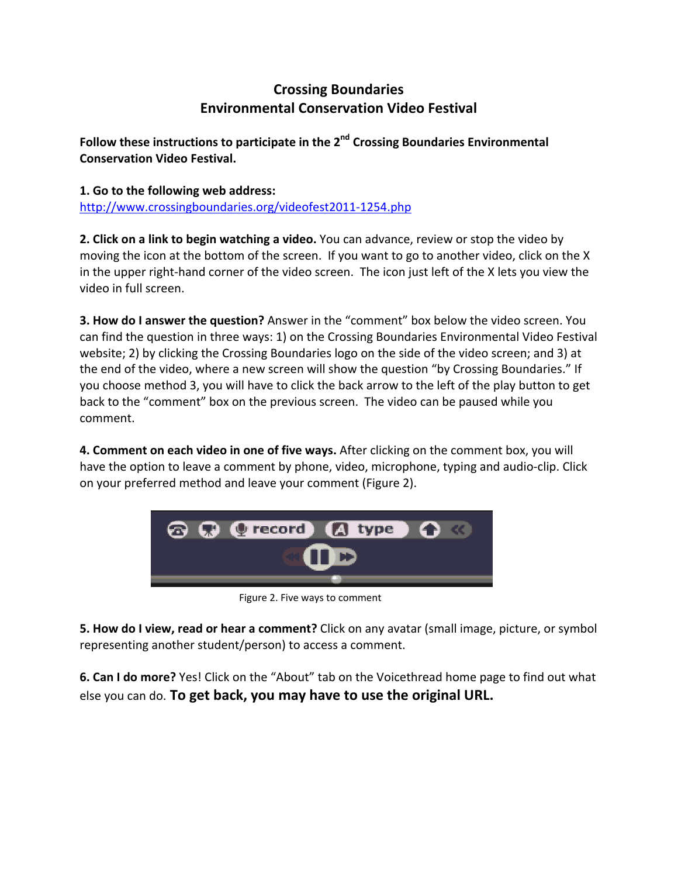# **Crossing Boundaries Environmental Conservation Video Festival**

**Follow these instructions to participate in the 2nd Crossing Boundaries Environmental Conservation Video Festival.**

**1. Go to the following web address:** http://www.crossingboundaries.org/videofest2011‐1254.php

**2. Click on a link to begin watching a video.** You can advance, review or stop the video by moving the icon at the bottom of the screen. If you want to go to another video, click on the X in the upper right‐hand corner of the video screen. The icon just left of the X lets you view the video in full screen.

**3. How do I answer the question?** Answer in the "comment" box below the video screen. You can find the question in three ways: 1) on the Crossing Boundaries Environmental Video Festival website; 2) by clicking the Crossing Boundaries logo on the side of the video screen; and 3) at the end of the video, where a new screen will show the question "by Crossing Boundaries." If you choose method 3, you will have to click the back arrow to the left of the play button to get back to the "comment" box on the previous screen. The video can be paused while you comment.

**4. Comment on each video in one of five ways.** After clicking on the comment box, you will have the option to leave a comment by phone, video, microphone, typing and audio‐clip. Click on your preferred method and leave your comment (Figure 2).



Figure 2. Five ways to comment

**5. How do I view, read or hear a comment?** Click on any avatar (small image, picture, or symbol representing another student/person) to access a comment.

**6. Can I do more?** Yes! Click on the "About" tab on the Voicethread home page to find out what else you can do. **To get back, you may have to use the original URL.**